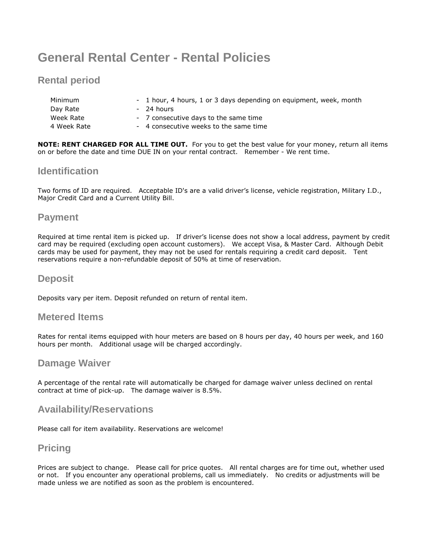# **General Rental Center - Rental Policies**

## **Rental period**

| Minimum     | - 1 hour, 4 hours, 1 or 3 days depending on equipment, week, month |
|-------------|--------------------------------------------------------------------|
| Day Rate    | - 24 hours                                                         |
| Week Rate   | - 7 consecutive days to the same time                              |
| 4 Week Rate | - 4 consecutive weeks to the same time                             |

**NOTE: RENT CHARGED FOR ALL TIME OUT.** For you to get the best value for your money, return all items on or before the date and time DUE IN on your rental contract. Remember - We rent time.

### **Identification**

Two forms of ID are required. Acceptable ID's are a valid driver's license, vehicle registration, Military I.D., Major Credit Card and a Current Utility Bill.

#### **Payment**

Required at time rental item is picked up. If driver's license does not show a local address, payment by credit card may be required (excluding open account customers). We accept Visa, & Master Card. Although Debit cards may be used for payment, they may not be used for rentals requiring a credit card deposit. Tent reservations require a non-refundable deposit of 50% at time of reservation.

#### **Deposit**

Deposits vary per item. Deposit refunded on return of rental item.

#### **Metered Items**

Rates for rental items equipped with hour meters are based on 8 hours per day, 40 hours per week, and 160 hours per month. Additional usage will be charged accordingly.

#### **Damage Waiver**

A percentage of the rental rate will automatically be charged for damage waiver unless declined on rental contract at time of pick-up. The damage waiver is 8.5%.

#### **Availability/Reservations**

Please call for item availability. Reservations are welcome!

## **Pricing**

Prices are subject to change. Please call for price quotes. All rental charges are for time out, whether used or not. If you encounter any operational problems, call us immediately. No credits or adjustments will be made unless we are notified as soon as the problem is encountered.